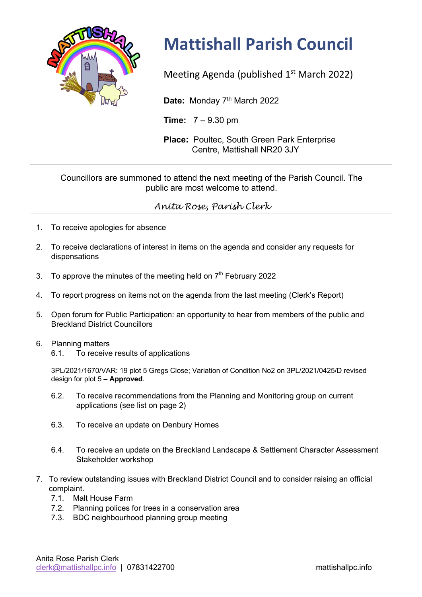

## **Mattishall Parish Council**

Meeting Agenda (published  $1<sup>st</sup>$  March 2022)

Date: Monday 7<sup>th</sup> March 2022

**Time:** 7 – 9.30 pm

**Place:** Poultec, South Green Park Enterprise Centre, Mattishall NR20 3JY

## Councillors are summoned to attend the next meeting of the Parish Council. The public are most welcome to attend.

## *Anita Rose, Parish Clerk*

- 1. To receive apologies for absence
- 2. To receive declarations of interest in items on the agenda and consider any requests for dispensations
- 3. To approve the minutes of the meeting held on  $7<sup>th</sup>$  February 2022
- 4. To report progress on items not on the agenda from the last meeting (Clerk's Report)
- 5. Open forum for Public Participation: an opportunity to hear from members of the public and Breckland District Councillors

## 6. Planning matters

6.1. To receive results of applications

3PL/2021/1670/VAR: 19 plot 5 Gregs Close; Variation of Condition No2 on 3PL/2021/0425/D revised design for plot 5 – **Approved**.

- 6.2. To receive recommendations from the Planning and Monitoring group on current applications (see list on page 2)
- 6.3. To receive an update on Denbury Homes
- 6.4. To receive an update on the Breckland Landscape & Settlement Character Assessment Stakeholder workshop
- 7. To review outstanding issues with Breckland District Council and to consider raising an official complaint.
	- 7.1. Malt House Farm
	- 7.2. Planning polices for trees in a conservation area
	- 7.3. BDC neighbourhood planning group meeting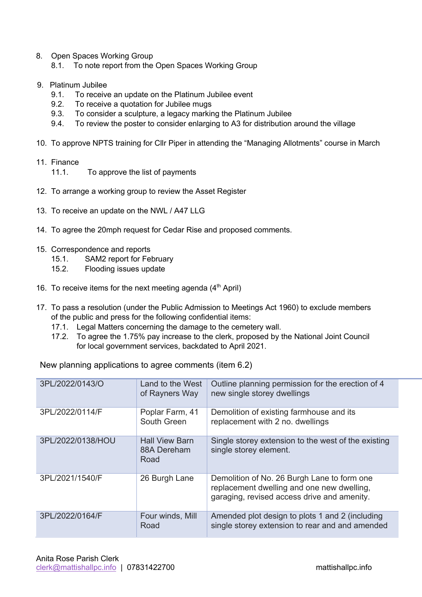- 8. Open Spaces Working Group 8.1. To note report from the Open Spaces Working Group
- 9. Platinum Jubilee
	- 9.1. To receive an update on the Platinum Jubilee event
	- 9.2. To receive a quotation for Jubilee mugs
	- 9.3. To consider a sculpture, a legacy marking the Platinum Jubilee
	- 9.4. To review the poster to consider enlarging to A3 for distribution around the village
- 10. To approve NPTS training for Cllr Piper in attending the "Managing Allotments" course in March
- 11. Finance
	- 11.1. To approve the list of payments
- 12. To arrange a working group to review the Asset Register
- 13. To receive an update on the NWL / A47 LLG
- 14. To agree the 20mph request for Cedar Rise and proposed comments.
- 15. Correspondence and reports
	- 15.1. SAM2 report for February
	- 15.2. Flooding issues update
- 16. To receive items for the next meeting agenda  $(4<sup>th</sup>$  April)
- 17. To pass a resolution (under the Public Admission to Meetings Act 1960) to exclude members of the public and press for the following confidential items:
	- 17.1. Legal Matters concerning the damage to the cemetery wall.
	- 17.2. To agree the 1.75% pay increase to the clerk, proposed by the National Joint Council for local government services, backdated to April 2021.

New planning applications to agree comments (item 6.2)

| 3PL/2022/0143/O   | Land to the West<br>of Rayners Way           | Outline planning permission for the erection of 4<br>new single storey dwellings                                                         |
|-------------------|----------------------------------------------|------------------------------------------------------------------------------------------------------------------------------------------|
| 3PL/2022/0114/F   | Poplar Farm, 41<br>South Green               | Demolition of existing farmhouse and its<br>replacement with 2 no. dwellings                                                             |
| 3PL/2022/0138/HOU | <b>Hall View Barn</b><br>88A Dereham<br>Road | Single storey extension to the west of the existing<br>single storey element.                                                            |
| 3PL/2021/1540/F   | 26 Burgh Lane                                | Demolition of No. 26 Burgh Lane to form one<br>replacement dwelling and one new dwelling,<br>garaging, revised access drive and amenity. |
| 3PL/2022/0164/F   | Four winds, Mill<br>Road                     | Amended plot design to plots 1 and 2 (including<br>single storey extension to rear and and amended                                       |